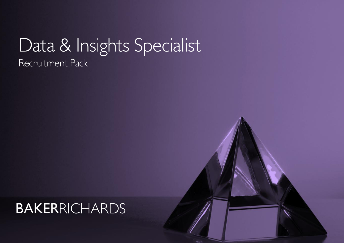# Data & Insights Specialist Recruitment Pack

<u>1970 - Johann Stein, Amerikaansk ferskiper (\* 1950)</u>

# **BAKERRICHARDS**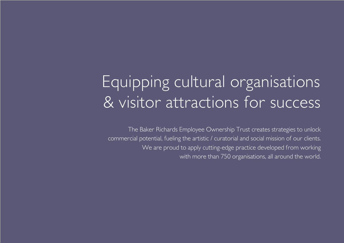# Equipping cultural organisations & visitor attractions for success

The Baker Richards Employee Ownership Trust creates strategies to unlock commercial potential, fueling the artistic / curatorial and social mission of our clients. We are proud to apply cutting-edge practice developed from working with more than 750 organisations, all around the world.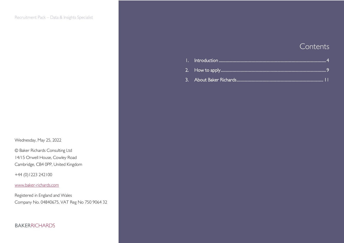Wednesday, May 25, 2022

© Baker Richards Consulting Ltd 14/15 Orwell House, Cowley Road Cambridge, CB4 0PP, United Kingdom

+44 (0)1223 242100

#### [www.baker-richards.com](http://www.baker-richards.com/)

Registered in England and Wales Company No. 04840675, VAT Reg No 750 9064 32

### 3

### Contents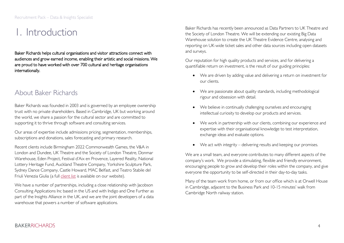## <span id="page-3-0"></span>1. Introduction

Baker Richards helps cultural organisations and visitor attractions connect with audiences and grow earned income, enabling their artistic and social missions. We are proud to have worked with over 700 cultural and heritage organisations internationally.

### About Baker Richards

Baker Richards was founded in 2003 and is governed by an employee ownership trust with no private shareholders. Based in Cambridge, UK but working around the world, we share a passion for the cultural sector and are committed to supporting it to thrive through software and consulting services.

Our areas of expertise include admissions pricing, segmentation, memberships, subscriptions and donations, sales forecasting and primary research.

Recent clients include Birmingham 2022 Commonwealth Games, the V&A in London and Dundee, UK Theatre and the Society of London Theatre, Donmar Warehouse, Eden Project, Festival d'Aix en Provence, Layered Reality, National Lottery Heritage Fund, Auckland Theatre Company, Yorkshire Sculpture Park, Sydney Dance Company, Castle Howard, MAC Belfast, and Teatro Stabile del Friuli Venezia Giulia (a full [client list](https://www.baker-richards.com/testimonials/clients/) is available on our website).

We have a number of partnerships, including a close relationship with Jacobson Consulting Applications Inc based in the US and with Indigo and One Further as part of the Insights Alliance in the UK, and we are the joint developers of a data warehouse that powers a number of software applications.

Baker Richards has recently been announced as Data Partners to UK Theatre and the Society of London Theatre. We will be extending our existing Big Data Warehouse solution to create the UK Theatre Evidence Centre, analysing and reporting on UK-wide ticket sales and other data sources including open datasets and surveys.

Our reputation for high quality products and services, and for delivering a quantifiable return on investment, is the result of our guiding principles:

- We are driven by adding value and delivering a return on investment for our clients.
- We are passionate about quality standards, including methodological rigour and obsession with detail.
- We believe in continually challenging ourselves and encouraging intellectual curiosity to develop our products and services.
- We work in partnership with our clients, combining our experience and expertise with their organisational knowledge to test interpretation, exchange ideas and evaluate options.
- We act with integrity delivering results and keeping our promises.

We are a small team, and everyone contributes to many different aspects of the company's work. We provide a stimulating, flexible and friendly environment, encouraging people to grow and develop their roles within the company, and give everyone the opportunity to be self-directed in their day-to-day tasks.

Many of the team work from home, or from our office which is at Orwell House in Cambridge, adjacent to the Business Park and 10-15 minutes' walk from Cambridge North railway station.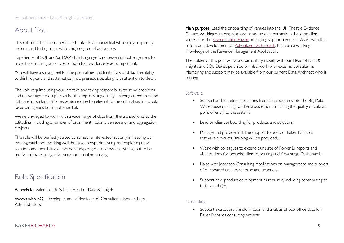## About You

This role could suit an experienced, data-driven individual who enjoys exploring systems and testing ideas with a high degree of autonomy.

Experience of SQL and/or DAX data languages is not essential, but eagerness to undertake training on or one or both to a workable level is important.

You will have a strong feel for the possibilities and limitations of data. The ability to think logically and systematically is a prerequisite, along with attention to detail.

The role requires using your initiative and taking responsibility to solve problems and deliver agreed outputs without compromising quality – strong communication skills are important. Prior experience directly relevant to the cultural sector would be advantageous but is not essential.

We're privileged to work with a wide range of data from the transactional to the attitudinal, including a number of prominent nationwide research and aggregation projects.

This role will be perfectly suited to someone interested not only in keeping our existing databases working well, but also in experimenting and exploring new solutions and possibilities – we don't expect you to know everything, but to be motivated by learning, discovery and problem-solving.

## Role Specification

Reports to: Valentina De Sabata, Head of Data & Insights

Works with: SQL Developer, and wider team of Consultants, Researchers, Administrators

Main purpose: Lead the onboarding of venues into the UK Theatre Evidence Centre, working with organisations to set up data extractions. Lead on client success for the [Segmentation Engine,](https://www.artsengines.com/segmentation-engine/introduction/) managing support requests. Assist with the rollout and development of [Advantage Dashboards.](https://www.baker-richards.com/software-data-solutions/advantage-dashboards/) Maintain a working knowledge of the Revenue Management Application.

The holder of this post will work particularly closely with our Head of Data & Insights and SQL Developer. You will also work with external consultants. Mentoring and support may be available from our current Data Architect who is retiring.

#### Software

- Support and monitor extractions from client systems into the Big Data Warehouse (training will be provided), maintaining the quality of data at point of entry to the system.
- Lead on client onboarding for products and solutions.
- Manage and provide first-line support to users of Baker Richards' software products (training will be provided).
- Work with colleagues to extend our suite of Power BI reports and visualisations for bespoke client reporting and Advantage Dashboards.
- Liaise with Jacobson Consulting Applications on management and support of our shared data warehouse and products.
- Support new product development as required, including contributing to testing and QA.

### Consulting

• Support extraction, transformation and analysis of box office data for Baker Richards consulting projects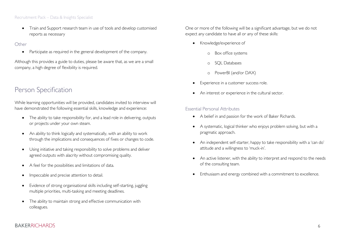#### Recruitment Pack – Data & Insights Specialist

• Train and Support research team in use of tools and develop customised reports as necessary

#### **Other**

• Participate as required in the general development of the company.

Although this provides a guide to duties, please be aware that, as we are a small company, a high degree of flexibility is required.

## Person Specification

While learning opportunities will be provided, candidates invited to interview will have demonstrated the following essential skills, knowledge and experience:

- The ability to take responsibility for, and a lead role in delivering, outputs or projects under your own steam.
- An ability to think logically and systematically, with an ability to work through the implications and consequences of fixes or changes to code.
- Using initiative and taking responsibility to solve problems and deliver agreed outputs with alacrity without compromising quality.
- A feel for the possibilities and limitations of data.
- Impeccable and precise attention to detail.
- Evidence of strong organisational skills including self-starting, juggling multiple priorities, multi-tasking and meeting deadlines.
- The ability to maintain strong and effective communication with colleagues.

One or more of the following will be a significant advantage, but we do not expect any candidate to have all or any of these skills:

- Knowledge/experience of
	- o Box office systems
	- o SQL Databases
	- o PowerBI (and/or DAX)
- Experience in a customer success role.
- An interest or experience in the cultural sector.

### Essential Personal Attributes

- A belief in and passion for the work of Baker Richards.
- A systematic, logical thinker who enjoys problem solving, but with a pragmatic approach.
- An independent self-starter, happy to take responsibility with a 'can do' attitude and a willingness to 'muck-in'.
- An active listener, with the ability to interpret and respond to the needs of the consulting team.
- Enthusiasm and energy combined with a commitment to excellence.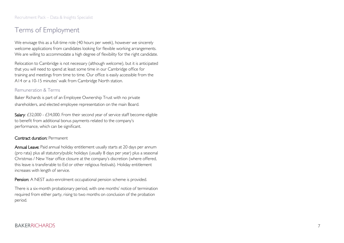## Terms of Employment

We envisage this as a full-time role (40 hours per week), however we sincerely  $\,$ welcome applications from candidates looking for flexible working arrangements. We are willing to accommodate a high degree of flexibility for the right candidate.

Relocation to Cambridge is not necessary (although welcome), but it is anticipated that you will need to spend at least some time in our Cambridge office for training and meetings from time to time. Our office is easily accessible from the A14 or a 10 -15 minutes' walk from Cambridge North station.

### Remuneration & Terms

Baker Richards is part of an Employee Ownership Trust with no private shareholders, and elected employee representation on the main Board.

**Salary**: £32,000 - £34,000. From their second year of service staff become eligible to benefit from additional bonus payments related to the company's performance, which can be significant.

### Contract duration: Permanent

Annual Leave: Paid annual holiday entitlement usually starts at 20 days per annum (pro rata) plus all statutory/public holidays (usually 8 days per year) plus a seasonal Christmas / New Year office closure at the company's discretion (where offered, this leave is transferable to Eid or other religious festivals). Holiday entitlement increases with length of service.

**Pension:** A NEST auto-enrolment occupational pension scheme is provided.

There is a six -month probationary period, with one months' notice of termination required from either party, rising to two months on conclusion of the probation period.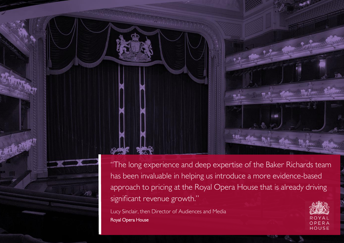"The long experience and deep expertise of the Baker Richards team has been invaluable in helping us introduce a more evidence-based approach to pricing at the Royal Opera House that is already driving significant revenue growth."

Lucy Sinclair, then Director of Audiences and Media Royal Opera House

Recruitment Pack – Data & Insights Specialist

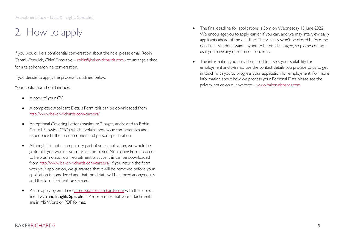## <span id="page-8-0"></span>2. How to apply

If you would like a confidential conversation about the role, please email Robin Cantrill-Fenwick, Chief Executive – [robin@baker-richards.com](mailto:robin@baker-richards.com) - to arrange a time for a telephone/online conversation.

If you decide to apply, the process is outlined below.

Your application should include:

- A copy of your CV.
- A completed Applicant Details Form: this can be downloaded from <http://www.baker-richards.com/careers/>
- An optional Covering Letter (maximum 2 pages, addressed to Robin Cantrill-Fenwick, CEO) which explains how your competencies and experience fit the job description and person specification.
- Although it is not a compulsory part of your application, we would be grateful if you would also return a completed Monitoring Form in order to help us monitor our recruitment practice: this can be downloaded from [http://www.baker-richards.com/careers/.](http://www.baker-richards.com/careers/) If you return the form with your application, we guarantee that it will be removed before your application is considered and that the details will be stored anonymously and the form itself will be deleted.
- Please apply by email c/o [careers@baker-richards.com](mailto:careers@baker-richards.com) with the subject line "Data and Insights Specialist". Please ensure that your attachments are in MS Word or PDF format.
- The final deadline for applications is 5pm on Wednesday 15 June 2022. We encourage you to apply earlier if you can, and we may interview early applicants ahead of the deadline. The vacancy won't be closed before the deadline - we don't want anyone to be disadvantaged, so please contact us if you have any question or concerns.
- The information you provide is used to assess your suitability for employment and we may use the contact details you provide to us to get in touch with you to progress your application for employment. For more information about how we process your Personal Data please see the privacy notice on our website – [www.baker-richards.com](http://www.baker-richards.com/)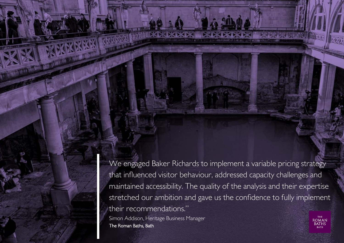**10 The Roman Baths, Bath 10** The Roman Baths,  $\frac{1}{8}$ We engaged Baker Richards to implement a variable pricing strategy that influenced visitor behaviour, addressed capacity challenges and maintained accessibility. The quality of the analysis and their expertise stretched our ambition and gave us the confidence to fully implement their recommendations." Simon Addison, Heritage Business Manager

Recruitment Pack – Data & Insights Specialist